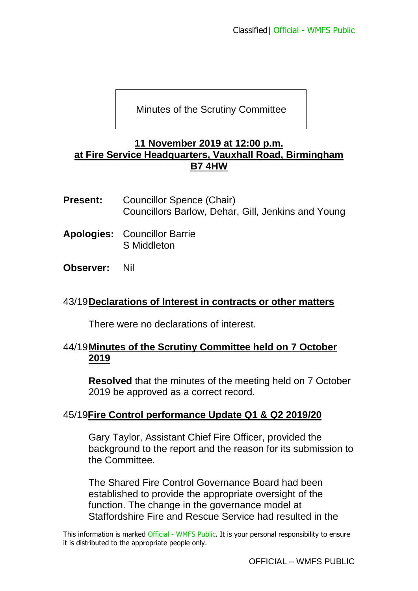## Minutes of the Scrutiny Committee

#### **11 November 2019 at 12:00 p.m. at Fire Service Headquarters, Vauxhall Road, Birmingham B7 4HW**

- **Present:** Councillor Spence (Chair) Councillors Barlow, Dehar, Gill, Jenkins and Young
- **Apologies:** Councillor Barrie S Middleton
- **Observer:** Nil

#### 43/19**Declarations of Interest in contracts or other matters**

There were no declarations of interest.

### 44/19**Minutes of the Scrutiny Committee held on 7 October 2019**

**Resolved** that the minutes of the meeting held on 7 October 2019 be approved as a correct record.

## 45/19**Fire Control performance Update Q1 & Q2 2019/20**

Gary Taylor, Assistant Chief Fire Officer, provided the background to the report and the reason for its submission to the Committee.

The Shared Fire Control Governance Board had been established to provide the appropriate oversight of the function. The change in the governance model at Staffordshire Fire and Rescue Service had resulted in the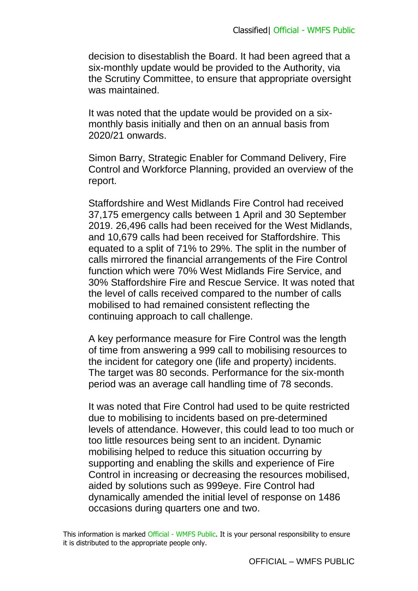decision to disestablish the Board. It had been agreed that a six-monthly update would be provided to the Authority, via the Scrutiny Committee, to ensure that appropriate oversight was maintained.

It was noted that the update would be provided on a sixmonthly basis initially and then on an annual basis from 2020/21 onwards.

Simon Barry, Strategic Enabler for Command Delivery, Fire Control and Workforce Planning, provided an overview of the report.

Staffordshire and West Midlands Fire Control had received 37,175 emergency calls between 1 April and 30 September 2019. 26,496 calls had been received for the West Midlands, and 10,679 calls had been received for Staffordshire. This equated to a split of 71% to 29%. The split in the number of calls mirrored the financial arrangements of the Fire Control function which were 70% West Midlands Fire Service, and 30% Staffordshire Fire and Rescue Service. It was noted that the level of calls received compared to the number of calls mobilised to had remained consistent reflecting the continuing approach to call challenge.

A key performance measure for Fire Control was the length of time from answering a 999 call to mobilising resources to the incident for category one (life and property) incidents. The target was 80 seconds. Performance for the six-month period was an average call handling time of 78 seconds.

It was noted that Fire Control had used to be quite restricted due to mobilising to incidents based on pre-determined levels of attendance. However, this could lead to too much or too little resources being sent to an incident. Dynamic mobilising helped to reduce this situation occurring by supporting and enabling the skills and experience of Fire Control in increasing or decreasing the resources mobilised, aided by solutions such as 999eye. Fire Control had dynamically amended the initial level of response on 1486 occasions during quarters one and two.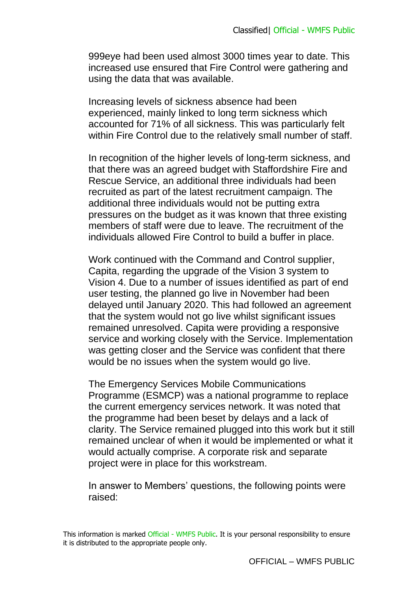999eye had been used almost 3000 times year to date. This increased use ensured that Fire Control were gathering and using the data that was available.

Increasing levels of sickness absence had been experienced, mainly linked to long term sickness which accounted for 71% of all sickness. This was particularly felt within Fire Control due to the relatively small number of staff.

In recognition of the higher levels of long-term sickness, and that there was an agreed budget with Staffordshire Fire and Rescue Service, an additional three individuals had been recruited as part of the latest recruitment campaign. The additional three individuals would not be putting extra pressures on the budget as it was known that three existing members of staff were due to leave. The recruitment of the individuals allowed Fire Control to build a buffer in place.

Work continued with the Command and Control supplier, Capita, regarding the upgrade of the Vision 3 system to Vision 4. Due to a number of issues identified as part of end user testing, the planned go live in November had been delayed until January 2020. This had followed an agreement that the system would not go live whilst significant issues remained unresolved. Capita were providing a responsive service and working closely with the Service. Implementation was getting closer and the Service was confident that there would be no issues when the system would go live.

The Emergency Services Mobile Communications Programme (ESMCP) was a national programme to replace the current emergency services network. It was noted that the programme had been beset by delays and a lack of clarity. The Service remained plugged into this work but it still remained unclear of when it would be implemented or what it would actually comprise. A corporate risk and separate project were in place for this workstream.

In answer to Members' questions, the following points were raised: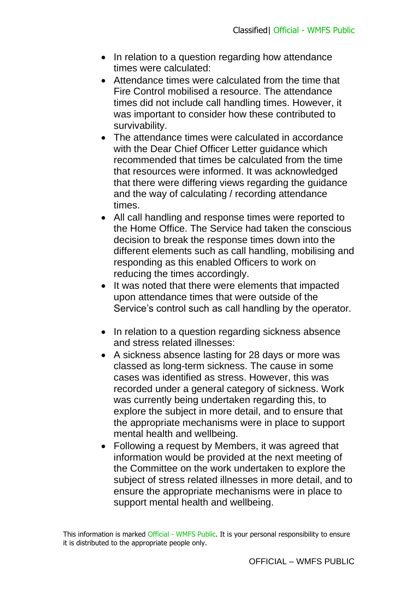- In relation to a question regarding how attendance times were calculated:
- Attendance times were calculated from the time that Fire Control mobilised a resource. The attendance times did not include call handling times. However, it was important to consider how these contributed to survivability.
- The attendance times were calculated in accordance with the Dear Chief Officer Letter guidance which recommended that times be calculated from the time that resources were informed. It was acknowledged that there were differing views regarding the guidance and the way of calculating / recording attendance times.
- All call handling and response times were reported to the Home Office. The Service had taken the conscious decision to break the response times down into the different elements such as call handling, mobilising and responding as this enabled Officers to work on reducing the times accordingly.
- It was noted that there were elements that impacted upon attendance times that were outside of the Service's control such as call handling by the operator.
- In relation to a question regarding sickness absence and stress related illnesses:
- A sickness absence lasting for 28 days or more was classed as long-term sickness. The cause in some cases was identified as stress. However, this was recorded under a general category of sickness. Work was currently being undertaken regarding this, to explore the subject in more detail, and to ensure that the appropriate mechanisms were in place to support mental health and wellbeing.
- Following a request by Members, it was agreed that information would be provided at the next meeting of the Committee on the work undertaken to explore the subject of stress related illnesses in more detail, and to ensure the appropriate mechanisms were in place to support mental health and wellbeing.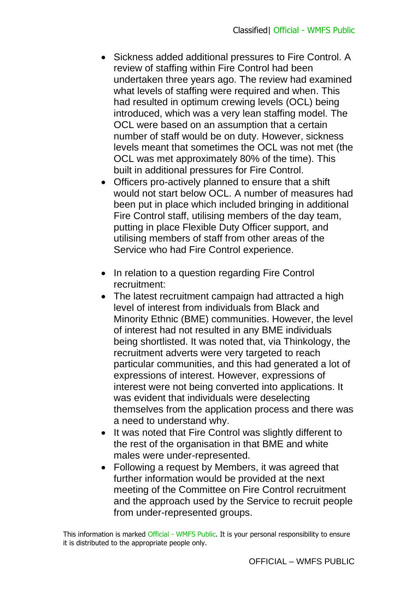- Sickness added additional pressures to Fire Control. A review of staffing within Fire Control had been undertaken three years ago. The review had examined what levels of staffing were required and when. This had resulted in optimum crewing levels (OCL) being introduced, which was a very lean staffing model. The OCL were based on an assumption that a certain number of staff would be on duty. However, sickness levels meant that sometimes the OCL was not met (the OCL was met approximately 80% of the time). This built in additional pressures for Fire Control.
- Officers pro-actively planned to ensure that a shift would not start below OCL. A number of measures had been put in place which included bringing in additional Fire Control staff, utilising members of the day team, putting in place Flexible Duty Officer support, and utilising members of staff from other areas of the Service who had Fire Control experience.
- In relation to a question regarding Fire Control recruitment:
- The latest recruitment campaign had attracted a high level of interest from individuals from Black and Minority Ethnic (BME) communities. However, the level of interest had not resulted in any BME individuals being shortlisted. It was noted that, via Thinkology, the recruitment adverts were very targeted to reach particular communities, and this had generated a lot of expressions of interest. However, expressions of interest were not being converted into applications. It was evident that individuals were deselecting themselves from the application process and there was a need to understand why.
- It was noted that Fire Control was slightly different to the rest of the organisation in that BME and white males were under-represented.
- Following a request by Members, it was agreed that further information would be provided at the next meeting of the Committee on Fire Control recruitment and the approach used by the Service to recruit people from under-represented groups.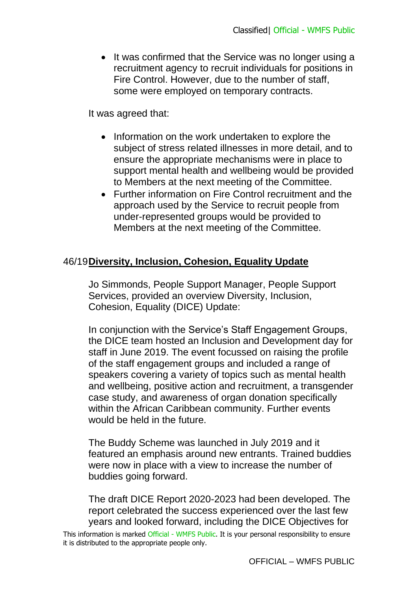• It was confirmed that the Service was no longer using a recruitment agency to recruit individuals for positions in Fire Control. However, due to the number of staff, some were employed on temporary contracts.

It was agreed that:

- Information on the work undertaken to explore the subject of stress related illnesses in more detail, and to ensure the appropriate mechanisms were in place to support mental health and wellbeing would be provided to Members at the next meeting of the Committee.
- Further information on Fire Control recruitment and the approach used by the Service to recruit people from under-represented groups would be provided to Members at the next meeting of the Committee.

# 46/19**Diversity, Inclusion, Cohesion, Equality Update**

Jo Simmonds, People Support Manager, People Support Services, provided an overview Diversity, Inclusion, Cohesion, Equality (DICE) Update:

In conjunction with the Service's Staff Engagement Groups, the DICE team hosted an Inclusion and Development day for staff in June 2019. The event focussed on raising the profile of the staff engagement groups and included a range of speakers covering a variety of topics such as mental health and wellbeing, positive action and recruitment, a transgender case study, and awareness of organ donation specifically within the African Caribbean community. Further events would be held in the future.

The Buddy Scheme was launched in July 2019 and it featured an emphasis around new entrants. Trained buddies were now in place with a view to increase the number of buddies going forward.

The draft DICE Report 2020-2023 had been developed. The report celebrated the success experienced over the last few years and looked forward, including the DICE Objectives for

This information is marked Official - WMFS Public. It is your personal responsibility to ensure it is distributed to the appropriate people only.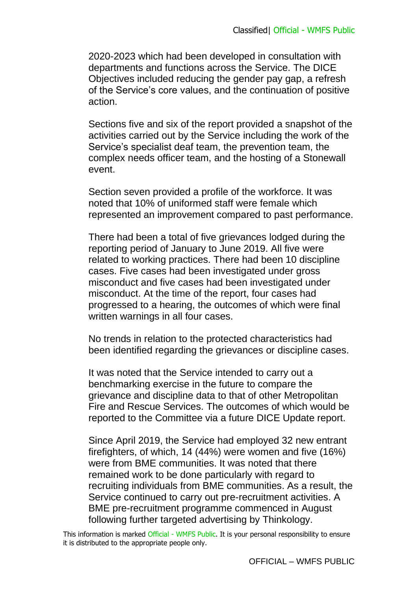2020-2023 which had been developed in consultation with departments and functions across the Service. The DICE Objectives included reducing the gender pay gap, a refresh of the Service's core values, and the continuation of positive action.

Sections five and six of the report provided a snapshot of the activities carried out by the Service including the work of the Service's specialist deaf team, the prevention team, the complex needs officer team, and the hosting of a Stonewall event.

Section seven provided a profile of the workforce. It was noted that 10% of uniformed staff were female which represented an improvement compared to past performance.

There had been a total of five grievances lodged during the reporting period of January to June 2019. All five were related to working practices. There had been 10 discipline cases. Five cases had been investigated under gross misconduct and five cases had been investigated under misconduct. At the time of the report, four cases had progressed to a hearing, the outcomes of which were final written warnings in all four cases.

No trends in relation to the protected characteristics had been identified regarding the grievances or discipline cases.

It was noted that the Service intended to carry out a benchmarking exercise in the future to compare the grievance and discipline data to that of other Metropolitan Fire and Rescue Services. The outcomes of which would be reported to the Committee via a future DICE Update report.

Since April 2019, the Service had employed 32 new entrant firefighters, of which, 14 (44%) were women and five (16%) were from BME communities. It was noted that there remained work to be done particularly with regard to recruiting individuals from BME communities. As a result, the Service continued to carry out pre-recruitment activities. A BME pre-recruitment programme commenced in August following further targeted advertising by Thinkology.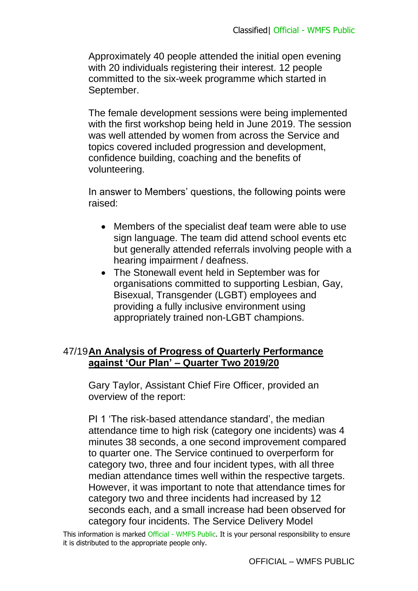Approximately 40 people attended the initial open evening with 20 individuals registering their interest. 12 people committed to the six-week programme which started in September.

The female development sessions were being implemented with the first workshop being held in June 2019. The session was well attended by women from across the Service and topics covered included progression and development, confidence building, coaching and the benefits of volunteering.

In answer to Members' questions, the following points were raised:

- Members of the specialist deaf team were able to use sign language. The team did attend school events etc but generally attended referrals involving people with a hearing impairment / deafness.
- The Stonewall event held in September was for organisations committed to supporting Lesbian, Gay, Bisexual, Transgender (LGBT) employees and providing a fully inclusive environment using appropriately trained non-LGBT champions.

## 47/19**An Analysis of Progress of Quarterly Performance against 'Our Plan' – Quarter Two 2019/20**

Gary Taylor, Assistant Chief Fire Officer, provided an overview of the report:

PI 1 'The risk-based attendance standard', the median attendance time to high risk (category one incidents) was 4 minutes 38 seconds, a one second improvement compared to quarter one. The Service continued to overperform for category two, three and four incident types, with all three median attendance times well within the respective targets. However, it was important to note that attendance times for category two and three incidents had increased by 12 seconds each, and a small increase had been observed for category four incidents. The Service Delivery Model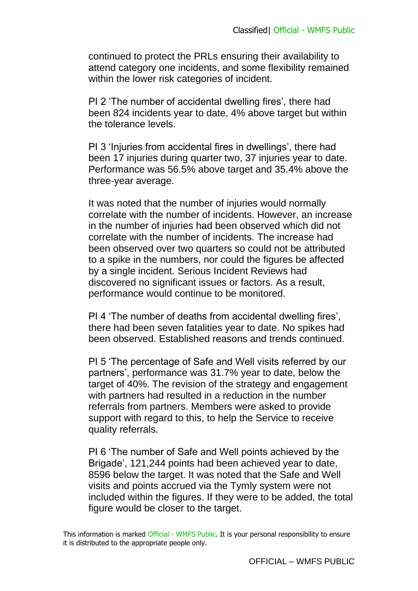continued to protect the PRLs ensuring their availability to attend category one incidents, and some flexibility remained within the lower risk categories of incident.

PI 2 'The number of accidental dwelling fires', there had been 824 incidents year to date, 4% above target but within the tolerance levels.

PI 3 'Injuries from accidental fires in dwellings', there had been 17 injuries during quarter two, 37 injuries year to date. Performance was 56.5% above target and 35.4% above the three-year average.

It was noted that the number of injuries would normally correlate with the number of incidents. However, an increase in the number of injuries had been observed which did not correlate with the number of incidents. The increase had been observed over two quarters so could not be attributed to a spike in the numbers, nor could the figures be affected by a single incident. Serious Incident Reviews had discovered no significant issues or factors. As a result, performance would continue to be monitored.

PI 4 'The number of deaths from accidental dwelling fires', there had been seven fatalities year to date. No spikes had been observed. Established reasons and trends continued.

PI 5 'The percentage of Safe and Well visits referred by our partners', performance was 31.7% year to date, below the target of 40%. The revision of the strategy and engagement with partners had resulted in a reduction in the number referrals from partners. Members were asked to provide support with regard to this, to help the Service to receive quality referrals.

PI 6 'The number of Safe and Well points achieved by the Brigade', 121,244 points had been achieved year to date, 8596 below the target. It was noted that the Safe and Well visits and points accrued via the Tymly system were not included within the figures. If they were to be added, the total figure would be closer to the target.

This information is marked Official - WMFS Public. It is your personal responsibility to ensure it is distributed to the appropriate people only.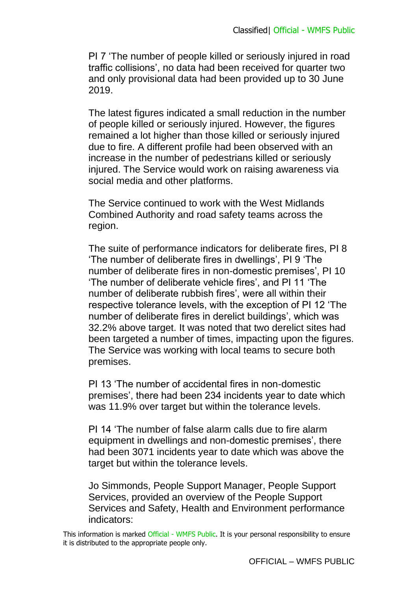PI 7 'The number of people killed or seriously injured in road traffic collisions', no data had been received for quarter two and only provisional data had been provided up to 30 June 2019.

The latest figures indicated a small reduction in the number of people killed or seriously injured. However, the figures remained a lot higher than those killed or seriously injured due to fire. A different profile had been observed with an increase in the number of pedestrians killed or seriously injured. The Service would work on raising awareness via social media and other platforms.

The Service continued to work with the West Midlands Combined Authority and road safety teams across the region.

The suite of performance indicators for deliberate fires, PI 8 'The number of deliberate fires in dwellings', PI 9 'The number of deliberate fires in non-domestic premises', PI 10 'The number of deliberate vehicle fires', and PI 11 'The number of deliberate rubbish fires', were all within their respective tolerance levels, with the exception of PI 12 'The number of deliberate fires in derelict buildings', which was 32.2% above target. It was noted that two derelict sites had been targeted a number of times, impacting upon the figures. The Service was working with local teams to secure both premises.

PI 13 'The number of accidental fires in non-domestic premises', there had been 234 incidents year to date which was 11.9% over target but within the tolerance levels.

PI 14 'The number of false alarm calls due to fire alarm equipment in dwellings and non-domestic premises', there had been 3071 incidents year to date which was above the target but within the tolerance levels.

Jo Simmonds, People Support Manager, People Support Services, provided an overview of the People Support Services and Safety, Health and Environment performance indicators: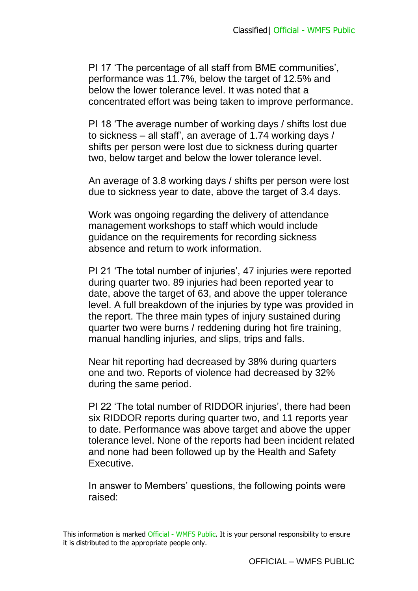PI 17 'The percentage of all staff from BME communities', performance was 11.7%, below the target of 12.5% and below the lower tolerance level. It was noted that a concentrated effort was being taken to improve performance.

PI 18 'The average number of working days / shifts lost due to sickness – all staff', an average of 1.74 working days / shifts per person were lost due to sickness during quarter two, below target and below the lower tolerance level.

An average of 3.8 working days / shifts per person were lost due to sickness year to date, above the target of 3.4 days.

Work was ongoing regarding the delivery of attendance management workshops to staff which would include guidance on the requirements for recording sickness absence and return to work information.

PI 21 'The total number of injuries', 47 injuries were reported during quarter two. 89 injuries had been reported year to date, above the target of 63, and above the upper tolerance level. A full breakdown of the injuries by type was provided in the report. The three main types of injury sustained during quarter two were burns / reddening during hot fire training, manual handling injuries, and slips, trips and falls.

Near hit reporting had decreased by 38% during quarters one and two. Reports of violence had decreased by 32% during the same period.

PI 22 'The total number of RIDDOR injuries', there had been six RIDDOR reports during quarter two, and 11 reports year to date. Performance was above target and above the upper tolerance level. None of the reports had been incident related and none had been followed up by the Health and Safety Executive.

In answer to Members' questions, the following points were raised: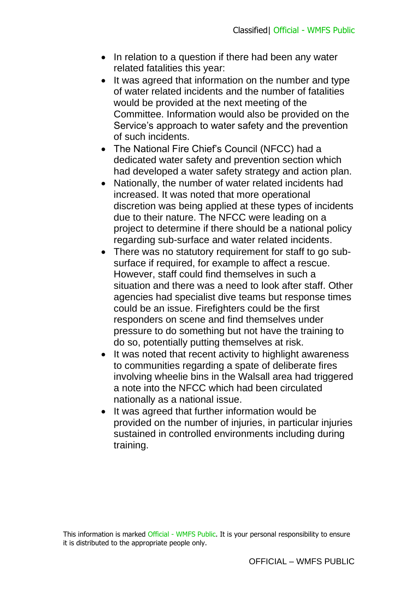- In relation to a question if there had been any water related fatalities this year:
- It was agreed that information on the number and type of water related incidents and the number of fatalities would be provided at the next meeting of the Committee. Information would also be provided on the Service's approach to water safety and the prevention of such incidents.
- The National Fire Chief's Council (NFCC) had a dedicated water safety and prevention section which had developed a water safety strategy and action plan.
- Nationally, the number of water related incidents had increased. It was noted that more operational discretion was being applied at these types of incidents due to their nature. The NFCC were leading on a project to determine if there should be a national policy regarding sub-surface and water related incidents.
- There was no statutory requirement for staff to go subsurface if required, for example to affect a rescue. However, staff could find themselves in such a situation and there was a need to look after staff. Other agencies had specialist dive teams but response times could be an issue. Firefighters could be the first responders on scene and find themselves under pressure to do something but not have the training to do so, potentially putting themselves at risk.
- It was noted that recent activity to highlight awareness to communities regarding a spate of deliberate fires involving wheelie bins in the Walsall area had triggered a note into the NFCC which had been circulated nationally as a national issue.
- It was agreed that further information would be provided on the number of injuries, in particular injuries sustained in controlled environments including during training.